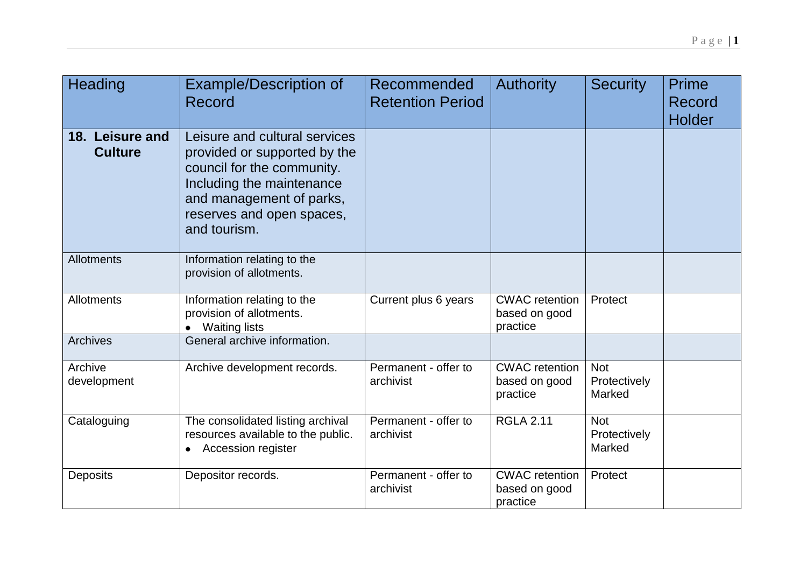| Heading                           | <b>Example/Description of</b><br>Record                                                                                                                                                           | Recommended<br><b>Retention Period</b> | <b>Authority</b>                                   | <b>Security</b>                      | <b>Prime</b><br>Record<br><b>Holder</b> |
|-----------------------------------|---------------------------------------------------------------------------------------------------------------------------------------------------------------------------------------------------|----------------------------------------|----------------------------------------------------|--------------------------------------|-----------------------------------------|
| 18. Leisure and<br><b>Culture</b> | Leisure and cultural services<br>provided or supported by the<br>council for the community.<br>Including the maintenance<br>and management of parks,<br>reserves and open spaces,<br>and tourism. |                                        |                                                    |                                      |                                         |
| Allotments                        | Information relating to the<br>provision of allotments.                                                                                                                                           |                                        |                                                    |                                      |                                         |
| Allotments                        | Information relating to the<br>provision of allotments.<br><b>Waiting lists</b>                                                                                                                   | Current plus 6 years                   | <b>CWAC</b> retention<br>based on good<br>practice | Protect                              |                                         |
| <b>Archives</b>                   | General archive information.                                                                                                                                                                      |                                        |                                                    |                                      |                                         |
| Archive<br>development            | Archive development records.                                                                                                                                                                      | Permanent - offer to<br>archivist      | <b>CWAC</b> retention<br>based on good<br>practice | <b>Not</b><br>Protectively<br>Marked |                                         |
| Cataloguing                       | The consolidated listing archival<br>resources available to the public.<br><b>Accession register</b><br>$\bullet$                                                                                 | Permanent - offer to<br>archivist      | <b>RGLA 2.11</b>                                   | <b>Not</b><br>Protectively<br>Marked |                                         |
| <b>Deposits</b>                   | Depositor records.                                                                                                                                                                                | Permanent - offer to<br>archivist      | <b>CWAC</b> retention<br>based on good<br>practice | Protect                              |                                         |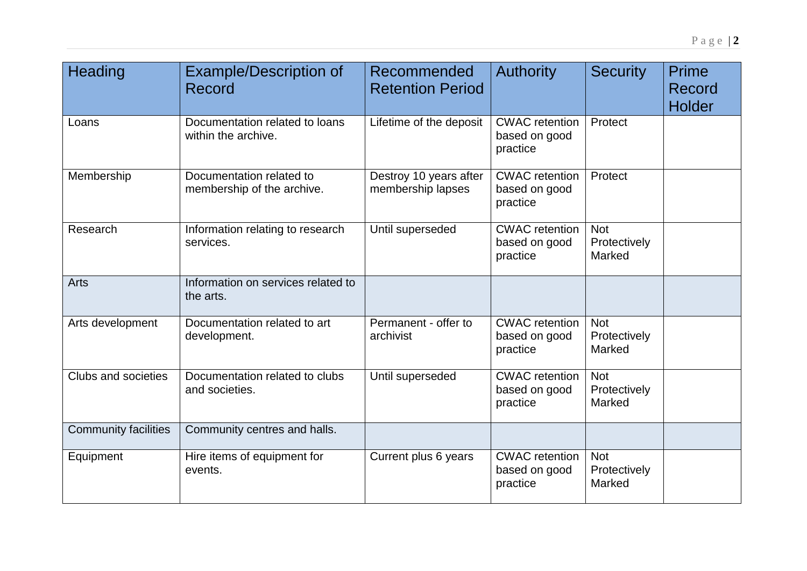| Heading                     | <b>Example/Description of</b><br>Record                | Recommended<br><b>Retention Period</b>      | <b>Authority</b>                                   | <b>Security</b>                      | <b>Prime</b><br>Record<br>Holder |
|-----------------------------|--------------------------------------------------------|---------------------------------------------|----------------------------------------------------|--------------------------------------|----------------------------------|
| Loans                       | Documentation related to loans<br>within the archive.  | Lifetime of the deposit                     | <b>CWAC</b> retention<br>based on good<br>practice | Protect                              |                                  |
| Membership                  | Documentation related to<br>membership of the archive. | Destroy 10 years after<br>membership lapses | <b>CWAC</b> retention<br>based on good<br>practice | Protect                              |                                  |
| Research                    | Information relating to research<br>services.          | Until superseded                            | <b>CWAC</b> retention<br>based on good<br>practice | <b>Not</b><br>Protectively<br>Marked |                                  |
| Arts                        | Information on services related to<br>the arts.        |                                             |                                                    |                                      |                                  |
| Arts development            | Documentation related to art<br>development.           | Permanent - offer to<br>archivist           | <b>CWAC</b> retention<br>based on good<br>practice | <b>Not</b><br>Protectively<br>Marked |                                  |
| Clubs and societies         | Documentation related to clubs<br>and societies.       | Until superseded                            | <b>CWAC</b> retention<br>based on good<br>practice | <b>Not</b><br>Protectively<br>Marked |                                  |
| <b>Community facilities</b> | Community centres and halls.                           |                                             |                                                    |                                      |                                  |
| Equipment                   | Hire items of equipment for<br>events.                 | Current plus 6 years                        | <b>CWAC</b> retention<br>based on good<br>practice | <b>Not</b><br>Protectively<br>Marked |                                  |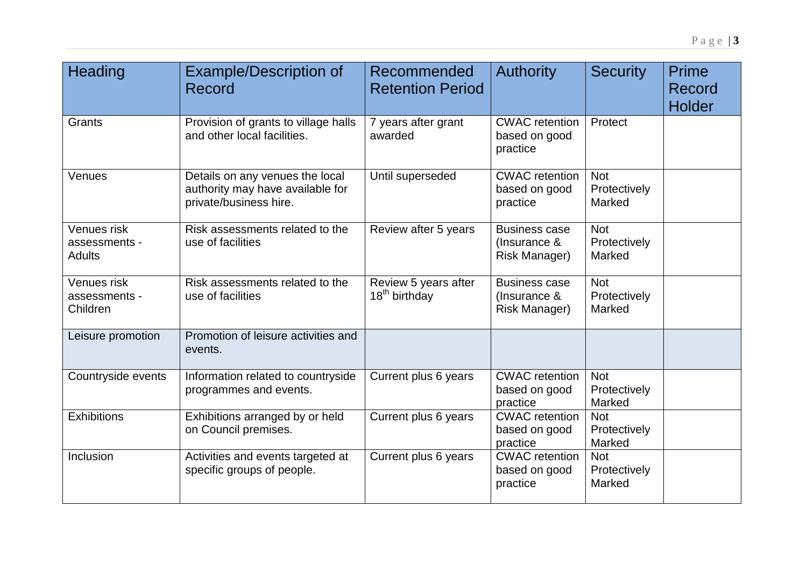| <b>Heading</b>                                | <b>Example/Description of</b><br>Record                                                       | Recommended<br><b>Retention Period</b>            | <b>Authority</b>                                             | <b>Security</b>                      | <b>Prime</b><br>Record<br><b>Holder</b> |
|-----------------------------------------------|-----------------------------------------------------------------------------------------------|---------------------------------------------------|--------------------------------------------------------------|--------------------------------------|-----------------------------------------|
| Grants                                        | Provision of grants to village halls<br>and other local facilities.                           | 7 years after grant<br>awarded                    | <b>CWAC</b> retention<br>based on good<br>practice           | Protect                              |                                         |
| Venues                                        | Details on any venues the local<br>authority may have available for<br>private/business hire. | Until superseded                                  | <b>CWAC</b> retention<br>based on good<br>practice           | <b>Not</b><br>Protectively<br>Marked |                                         |
| Venues risk<br>assessments -<br><b>Adults</b> | Risk assessments related to the<br>use of facilities                                          | Review after 5 years                              | <b>Business case</b><br>(Insurance &<br><b>Risk Manager)</b> | <b>Not</b><br>Protectively<br>Marked |                                         |
| Venues risk<br>assessments -<br>Children      | Risk assessments related to the<br>use of facilities                                          | Review 5 years after<br>18 <sup>th</sup> birthday | <b>Business case</b><br>(Insurance &<br>Risk Manager)        | <b>Not</b><br>Protectively<br>Marked |                                         |
| Leisure promotion                             | Promotion of leisure activities and<br>events.                                                |                                                   |                                                              |                                      |                                         |
| Countryside events                            | Information related to countryside<br>programmes and events.                                  | Current plus 6 years                              | <b>CWAC</b> retention<br>based on good<br>practice           | <b>Not</b><br>Protectively<br>Marked |                                         |
| <b>Exhibitions</b>                            | Exhibitions arranged by or held<br>on Council premises.                                       | Current plus 6 years                              | <b>CWAC</b> retention<br>based on good<br>practice           | <b>Not</b><br>Protectively<br>Marked |                                         |
| Inclusion                                     | Activities and events targeted at<br>specific groups of people.                               | Current plus 6 years                              | <b>CWAC</b> retention<br>based on good<br>practice           | <b>Not</b><br>Protectively<br>Marked |                                         |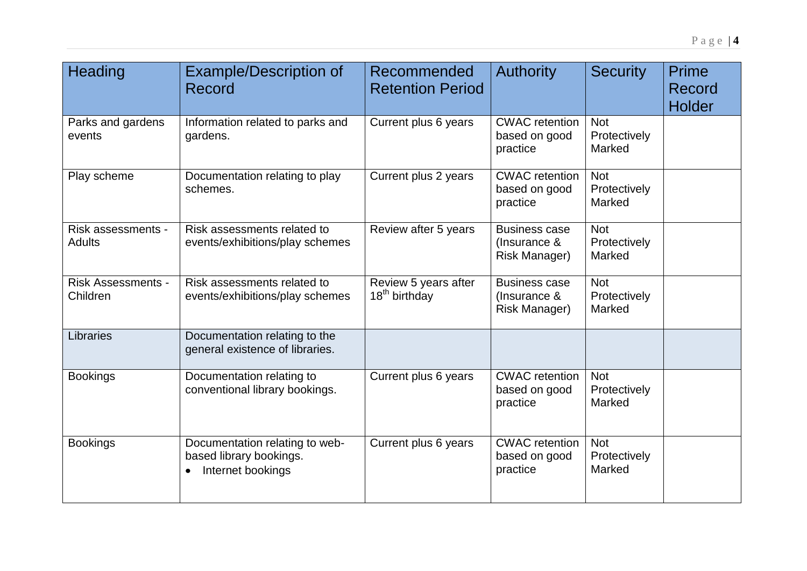| <b>Heading</b>                        | <b>Example/Description of</b><br>Record                                                     | Recommended<br><b>Retention Period</b>            | <b>Authority</b>                                             | <b>Security</b>                      | Prime<br>Record<br>Holder |
|---------------------------------------|---------------------------------------------------------------------------------------------|---------------------------------------------------|--------------------------------------------------------------|--------------------------------------|---------------------------|
| Parks and gardens<br>events           | Information related to parks and<br>gardens.                                                | Current plus 6 years                              | <b>CWAC</b> retention<br>based on good<br>practice           | <b>Not</b><br>Protectively<br>Marked |                           |
| Play scheme                           | Documentation relating to play<br>schemes.                                                  | Current plus 2 years                              | <b>CWAC</b> retention<br>based on good<br>practice           | <b>Not</b><br>Protectively<br>Marked |                           |
| Risk assessments -<br><b>Adults</b>   | Risk assessments related to<br>events/exhibitions/play schemes                              | Review after 5 years                              | <b>Business case</b><br>(Insurance &<br><b>Risk Manager)</b> | <b>Not</b><br>Protectively<br>Marked |                           |
| <b>Risk Assessments -</b><br>Children | Risk assessments related to<br>events/exhibitions/play schemes                              | Review 5 years after<br>18 <sup>th</sup> birthday | <b>Business case</b><br>(Insurance &<br><b>Risk Manager)</b> | <b>Not</b><br>Protectively<br>Marked |                           |
| Libraries                             | Documentation relating to the<br>general existence of libraries.                            |                                                   |                                                              |                                      |                           |
| <b>Bookings</b>                       | Documentation relating to<br>conventional library bookings.                                 | Current plus 6 years                              | <b>CWAC</b> retention<br>based on good<br>practice           | <b>Not</b><br>Protectively<br>Marked |                           |
| <b>Bookings</b>                       | Documentation relating to web-<br>based library bookings.<br>Internet bookings<br>$\bullet$ | Current plus 6 years                              | <b>CWAC</b> retention<br>based on good<br>practice           | <b>Not</b><br>Protectively<br>Marked |                           |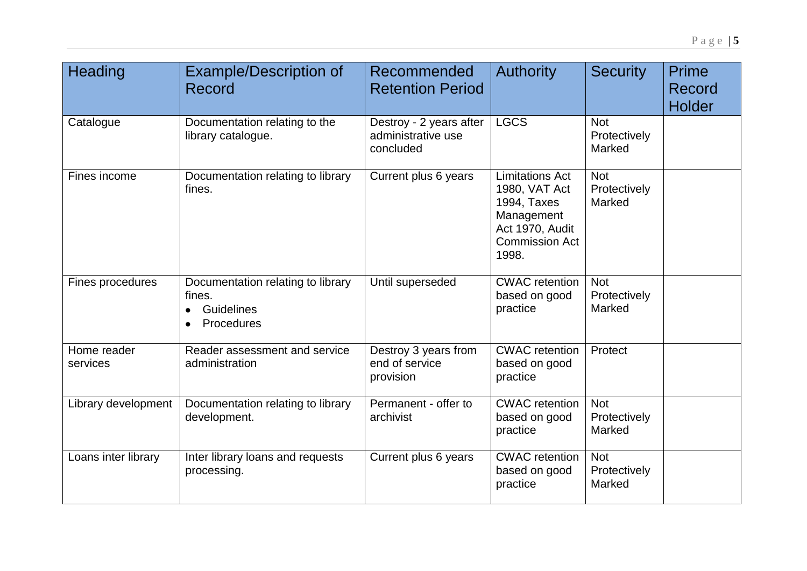| <b>Heading</b>          | <b>Example/Description of</b><br>Record                                              | Recommended<br><b>Retention Period</b>                     | <b>Authority</b>                                                                                                          | <b>Security</b>                      | Prime<br>Record<br><b>Holder</b> |
|-------------------------|--------------------------------------------------------------------------------------|------------------------------------------------------------|---------------------------------------------------------------------------------------------------------------------------|--------------------------------------|----------------------------------|
| Catalogue               | Documentation relating to the<br>library catalogue.                                  | Destroy - 2 years after<br>administrative use<br>concluded | <b>LGCS</b>                                                                                                               | <b>Not</b><br>Protectively<br>Marked |                                  |
| Fines income            | Documentation relating to library<br>fines.                                          | Current plus 6 years                                       | <b>Limitations Act</b><br>1980, VAT Act<br>1994, Taxes<br>Management<br>Act 1970, Audit<br><b>Commission Act</b><br>1998. | <b>Not</b><br>Protectively<br>Marked |                                  |
| Fines procedures        | Documentation relating to library<br>fines.<br>Guidelines<br>Procedures<br>$\bullet$ | Until superseded                                           | <b>CWAC</b> retention<br>based on good<br>practice                                                                        | <b>Not</b><br>Protectively<br>Marked |                                  |
| Home reader<br>services | Reader assessment and service<br>administration                                      | Destroy 3 years from<br>end of service<br>provision        | <b>CWAC</b> retention<br>based on good<br>practice                                                                        | Protect                              |                                  |
| Library development     | Documentation relating to library<br>development.                                    | Permanent - offer to<br>archivist                          | <b>CWAC</b> retention<br>based on good<br>practice                                                                        | <b>Not</b><br>Protectively<br>Marked |                                  |
| Loans inter library     | Inter library loans and requests<br>processing.                                      | Current plus 6 years                                       | <b>CWAC</b> retention<br>based on good<br>practice                                                                        | <b>Not</b><br>Protectively<br>Marked |                                  |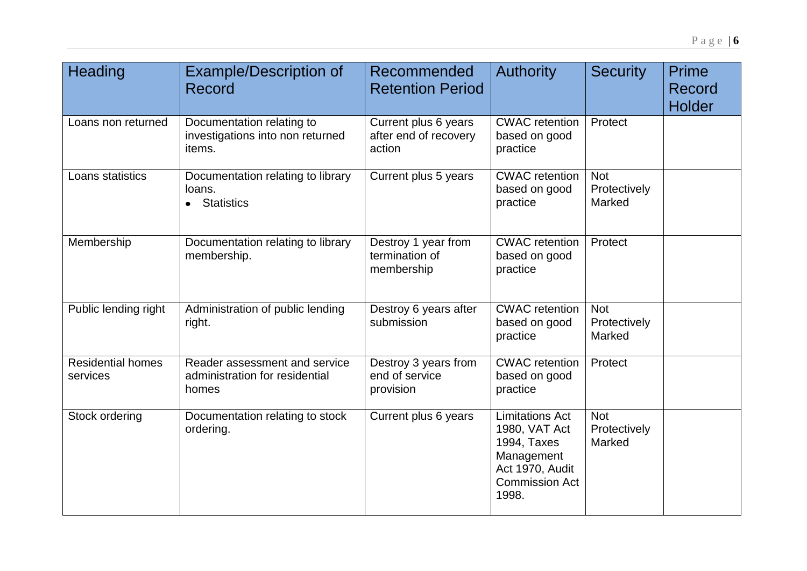| <b>Heading</b>                       | <b>Example/Description of</b><br>Record                                  | Recommended<br><b>Retention Period</b>                  | <b>Authority</b>                                                                                                          | <b>Security</b>                      | <b>Prime</b><br>Record<br><b>Holder</b> |
|--------------------------------------|--------------------------------------------------------------------------|---------------------------------------------------------|---------------------------------------------------------------------------------------------------------------------------|--------------------------------------|-----------------------------------------|
| Loans non returned                   | Documentation relating to<br>investigations into non returned<br>items.  | Current plus 6 years<br>after end of recovery<br>action | <b>CWAC</b> retention<br>based on good<br>practice                                                                        | Protect                              |                                         |
| Loans statistics                     | Documentation relating to library<br>loans.<br>• Statistics              | Current plus 5 years                                    | <b>CWAC</b> retention<br>based on good<br>practice                                                                        | <b>Not</b><br>Protectively<br>Marked |                                         |
| Membership                           | Documentation relating to library<br>membership.                         | Destroy 1 year from<br>termination of<br>membership     | <b>CWAC</b> retention<br>based on good<br>practice                                                                        | Protect                              |                                         |
| Public lending right                 | Administration of public lending<br>right.                               | Destroy 6 years after<br>submission                     | <b>CWAC</b> retention<br>based on good<br>practice                                                                        | <b>Not</b><br>Protectively<br>Marked |                                         |
| <b>Residential homes</b><br>services | Reader assessment and service<br>administration for residential<br>homes | Destroy 3 years from<br>end of service<br>provision     | <b>CWAC</b> retention<br>based on good<br>practice                                                                        | Protect                              |                                         |
| Stock ordering                       | Documentation relating to stock<br>ordering.                             | Current plus 6 years                                    | <b>Limitations Act</b><br>1980, VAT Act<br>1994, Taxes<br>Management<br>Act 1970, Audit<br><b>Commission Act</b><br>1998. | <b>Not</b><br>Protectively<br>Marked |                                         |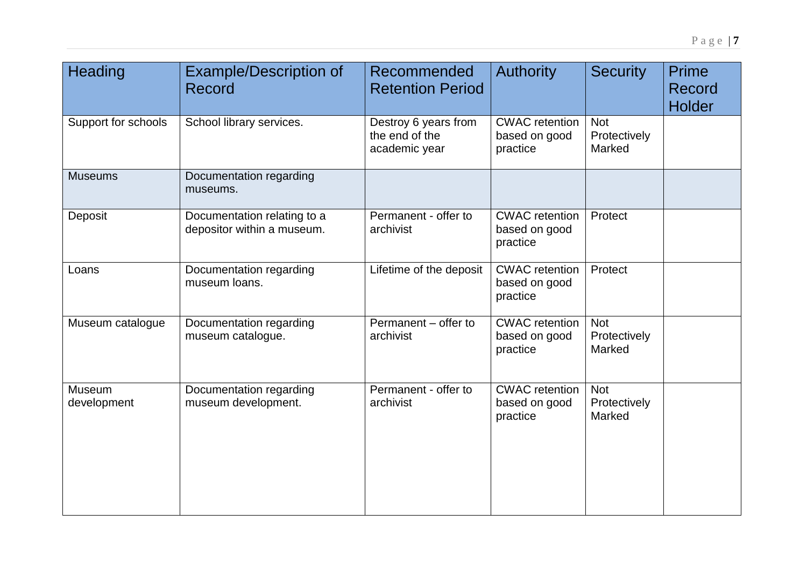| Heading               | <b>Example/Description of</b><br><b>Record</b>            | Recommended<br><b>Retention Period</b>                  | <b>Authority</b>                                   | <b>Security</b>                      | <b>Prime</b><br>Record<br><b>Holder</b> |
|-----------------------|-----------------------------------------------------------|---------------------------------------------------------|----------------------------------------------------|--------------------------------------|-----------------------------------------|
| Support for schools   | School library services.                                  | Destroy 6 years from<br>the end of the<br>academic year | <b>CWAC</b> retention<br>based on good<br>practice | <b>Not</b><br>Protectively<br>Marked |                                         |
| <b>Museums</b>        | Documentation regarding<br>museums.                       |                                                         |                                                    |                                      |                                         |
| Deposit               | Documentation relating to a<br>depositor within a museum. | Permanent - offer to<br>archivist                       | <b>CWAC</b> retention<br>based on good<br>practice | Protect                              |                                         |
| Loans                 | Documentation regarding<br>museum loans.                  | Lifetime of the deposit                                 | <b>CWAC</b> retention<br>based on good<br>practice | Protect                              |                                         |
| Museum catalogue      | Documentation regarding<br>museum catalogue.              | Permanent - offer to<br>archivist                       | <b>CWAC</b> retention<br>based on good<br>practice | <b>Not</b><br>Protectively<br>Marked |                                         |
| Museum<br>development | Documentation regarding<br>museum development.            | Permanent - offer to<br>archivist                       | <b>CWAC</b> retention<br>based on good<br>practice | <b>Not</b><br>Protectively<br>Marked |                                         |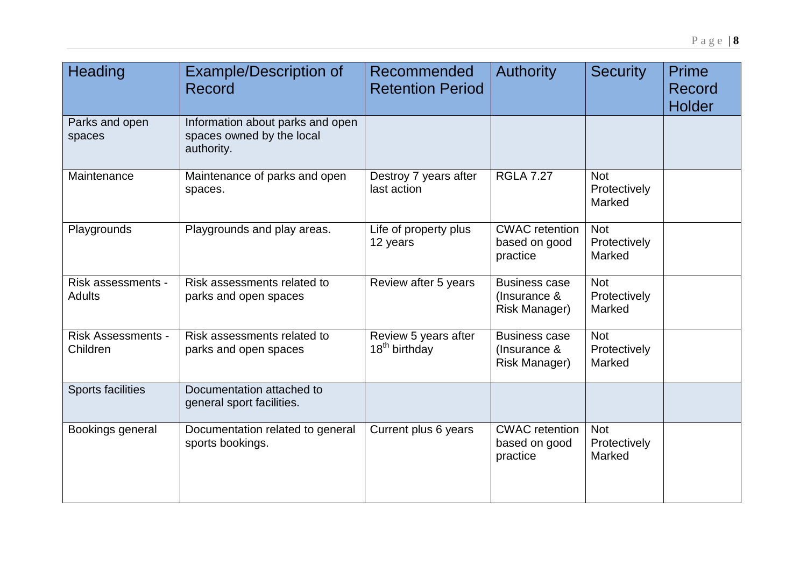| Heading                               | <b>Example/Description of</b><br>Record                                     | Recommended<br><b>Retention Period</b>            | <b>Authority</b>                                      | <b>Security</b>                      | <b>Prime</b><br>Record<br><b>Holder</b> |
|---------------------------------------|-----------------------------------------------------------------------------|---------------------------------------------------|-------------------------------------------------------|--------------------------------------|-----------------------------------------|
| Parks and open<br>spaces              | Information about parks and open<br>spaces owned by the local<br>authority. |                                                   |                                                       |                                      |                                         |
| Maintenance                           | Maintenance of parks and open<br>spaces.                                    | Destroy 7 years after<br>last action              | <b>RGLA 7.27</b>                                      | <b>Not</b><br>Protectively<br>Marked |                                         |
| Playgrounds                           | Playgrounds and play areas.                                                 | Life of property plus<br>12 years                 | <b>CWAC</b> retention<br>based on good<br>practice    | <b>Not</b><br>Protectively<br>Marked |                                         |
| Risk assessments -<br><b>Adults</b>   | Risk assessments related to<br>parks and open spaces                        | Review after 5 years                              | <b>Business case</b><br>(Insurance &<br>Risk Manager) | <b>Not</b><br>Protectively<br>Marked |                                         |
| <b>Risk Assessments -</b><br>Children | Risk assessments related to<br>parks and open spaces                        | Review 5 years after<br>18 <sup>th</sup> birthday | <b>Business case</b><br>(Insurance &<br>Risk Manager) | <b>Not</b><br>Protectively<br>Marked |                                         |
| <b>Sports facilities</b>              | Documentation attached to<br>general sport facilities.                      |                                                   |                                                       |                                      |                                         |
| Bookings general                      | Documentation related to general<br>sports bookings.                        | Current plus 6 years                              | <b>CWAC</b> retention<br>based on good<br>practice    | <b>Not</b><br>Protectively<br>Marked |                                         |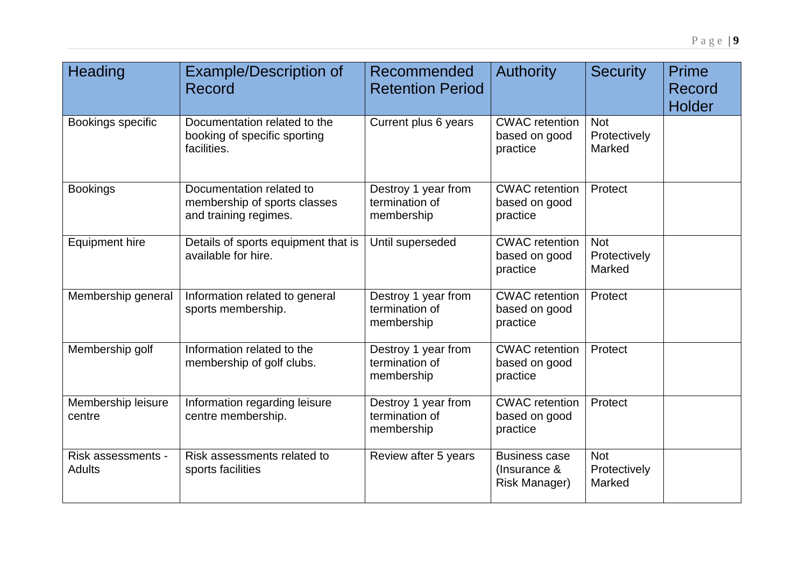| <b>Heading</b>                      | <b>Example/Description of</b><br>Record                                           | Recommended<br><b>Retention Period</b>              | <b>Authority</b>                                             | <b>Security</b>                      | Prime<br>Record<br>Holder |
|-------------------------------------|-----------------------------------------------------------------------------------|-----------------------------------------------------|--------------------------------------------------------------|--------------------------------------|---------------------------|
| Bookings specific                   | Documentation related to the<br>booking of specific sporting<br>facilities.       | Current plus 6 years                                | <b>CWAC</b> retention<br>based on good<br>practice           | <b>Not</b><br>Protectively<br>Marked |                           |
| <b>Bookings</b>                     | Documentation related to<br>membership of sports classes<br>and training regimes. | Destroy 1 year from<br>termination of<br>membership | <b>CWAC</b> retention<br>based on good<br>practice           | Protect                              |                           |
| <b>Equipment hire</b>               | Details of sports equipment that is<br>available for hire.                        | Until superseded                                    | <b>CWAC</b> retention<br>based on good<br>practice           | <b>Not</b><br>Protectively<br>Marked |                           |
| Membership general                  | Information related to general<br>sports membership.                              | Destroy 1 year from<br>termination of<br>membership | <b>CWAC</b> retention<br>based on good<br>practice           | Protect                              |                           |
| Membership golf                     | Information related to the<br>membership of golf clubs.                           | Destroy 1 year from<br>termination of<br>membership | <b>CWAC</b> retention<br>based on good<br>practice           | Protect                              |                           |
| Membership leisure<br>centre        | Information regarding leisure<br>centre membership.                               | Destroy 1 year from<br>termination of<br>membership | <b>CWAC</b> retention<br>based on good<br>practice           | Protect                              |                           |
| Risk assessments -<br><b>Adults</b> | Risk assessments related to<br>sports facilities                                  | Review after 5 years                                | <b>Business case</b><br>(Insurance &<br><b>Risk Manager)</b> | <b>Not</b><br>Protectively<br>Marked |                           |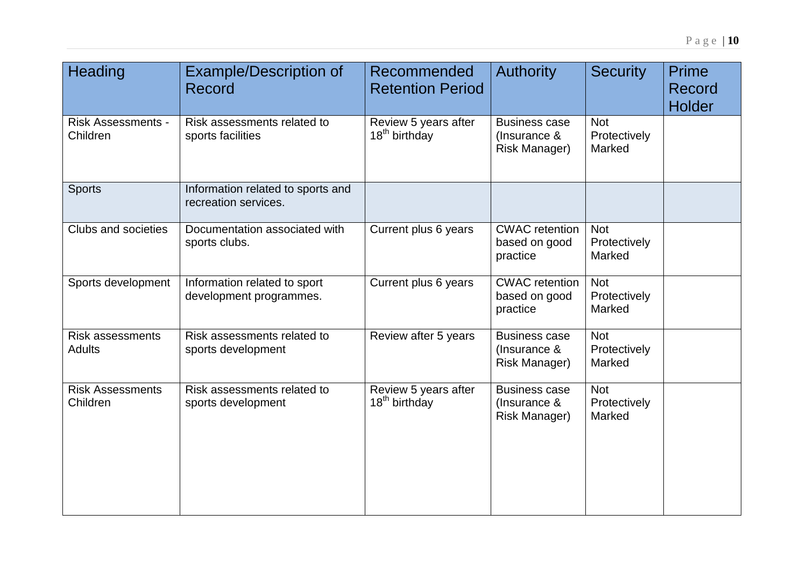| Heading                                  | <b>Example/Description of</b><br>Record                   | Recommended<br><b>Retention Period</b>            | <b>Authority</b>                                             | <b>Security</b>                      | <b>Prime</b><br>Record<br><b>Holder</b> |
|------------------------------------------|-----------------------------------------------------------|---------------------------------------------------|--------------------------------------------------------------|--------------------------------------|-----------------------------------------|
| <b>Risk Assessments -</b><br>Children    | Risk assessments related to<br>sports facilities          | Review 5 years after<br>18 <sup>th</sup> birthday | <b>Business case</b><br>(Insurance &<br>Risk Manager)        | <b>Not</b><br>Protectively<br>Marked |                                         |
| <b>Sports</b>                            | Information related to sports and<br>recreation services. |                                                   |                                                              |                                      |                                         |
| Clubs and societies                      | Documentation associated with<br>sports clubs.            | Current plus 6 years                              | <b>CWAC</b> retention<br>based on good<br>practice           | <b>Not</b><br>Protectively<br>Marked |                                         |
| Sports development                       | Information related to sport<br>development programmes.   | Current plus 6 years                              | <b>CWAC</b> retention<br>based on good<br>practice           | <b>Not</b><br>Protectively<br>Marked |                                         |
| <b>Risk assessments</b><br><b>Adults</b> | Risk assessments related to<br>sports development         | Review after 5 years                              | <b>Business case</b><br>(Insurance &<br><b>Risk Manager)</b> | <b>Not</b><br>Protectively<br>Marked |                                         |
| <b>Risk Assessments</b><br>Children      | Risk assessments related to<br>sports development         | Review 5 years after<br>18 <sup>th</sup> birthday | <b>Business case</b><br>(Insurance &<br>Risk Manager)        | <b>Not</b><br>Protectively<br>Marked |                                         |